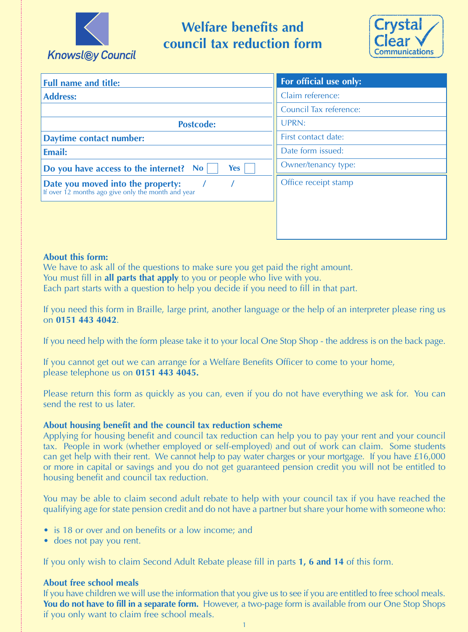

# **Welfare benefits and council tax reduction form**



| For official use only: |
|------------------------|
| Claim reference:       |
| Council Tax reference: |
| UPRN:                  |
| First contact date:    |
| Date form issued:      |
| Owner/tenancy type:    |
| Office receipt stamp   |
|                        |
|                        |

#### **About this form:**

We have to ask all of the questions to make sure you get paid the right amount. You must fill in **all parts that apply** to you or people who live with you. Each part starts with a question to help you decide if you need to fill in that part.

If you need this form in Braille, large print, another language or the help of an interpreter please ring us on **0151 443 4042**.

If you need help with the form please take it to your local One Stop Shop - the address is on the back page.

If you cannot get out we can arrange for a Welfare Benefits Officer to come to your home, please telephone us on **0151 443 4045.**

Please return this form as quickly as you can, even if you do not have everything we ask for. You can send the rest to us later.

#### **About housing benefit and the council tax reduction scheme**

Applying for housing benefit and council tax reduction can help you to pay your rent and your council tax. People in work (whether employed or self-employed) and out of work can claim. Some students can get help with their rent. We cannot help to pay water charges or your mortgage. If you have £16,000 or more in capital or savings and you do not get guaranteed pension credit you will not be entitled to housing benefit and council tax reduction.

You may be able to claim second adult rebate to help with your council tax if you have reached the qualifying age for state pension credit and do not have a partner but share your home with someone who:

- is 18 or over and on benefits or a low income; and
- does not pay you rent.

If you only wish to claim Second Adult Rebate please fill in parts **1, 6 and 14** of this form.

#### **About free school meals**

If you have children we will use the information that you give us to see if you are entitled to free school meals. You do not have to fill in a separate form. However, a two-page form is available from our One Stop Shops if you only want to claim free school meals.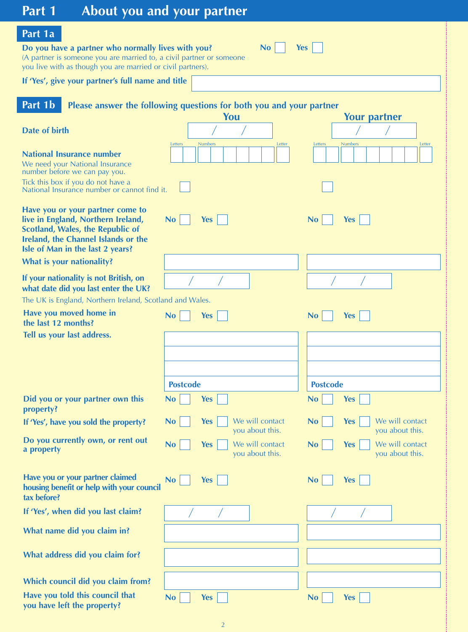| Part 1                                                                                                                                                                                                                    | About you and your partner                                          |                                                               |
|---------------------------------------------------------------------------------------------------------------------------------------------------------------------------------------------------------------------------|---------------------------------------------------------------------|---------------------------------------------------------------|
| Part 1a<br>Do you have a partner who normally lives with you?<br>(A partner is someone you are married to, a civil partner or someone<br>you live with as though you are married or civil partners).                      | <b>No</b>                                                           | <b>Yes</b>                                                    |
| If 'Yes', give your partner's full name and title                                                                                                                                                                         |                                                                     |                                                               |
| Part 1b                                                                                                                                                                                                                   | Please answer the following questions for both you and your partner |                                                               |
| Date of birth                                                                                                                                                                                                             | You<br><b>Numbers</b><br>Letter<br>Letters                          | <b>Your partner</b><br><b>Numbers</b><br>Letters<br>Letter    |
| <b>National Insurance number</b><br>We need your National Insurance<br>number before we can pay you.<br>Tick this box if you do not have a<br>National Insurance number or cannot find it.                                |                                                                     |                                                               |
| Have you or your partner come to<br>live in England, Northern Ireland,<br><b>Scotland, Wales, the Republic of</b><br>Ireland, the Channel Islands or the<br>Isle of Man in the last 2 years?<br>What is your nationality? | <b>No</b><br>$Yes \mid$                                             | <b>No</b><br><b>Yes</b>                                       |
| If your nationality is not British, on<br>what date did you last enter the UK?<br>The UK is England, Northern Ireland, Scotland and Wales.                                                                                |                                                                     |                                                               |
| Have you moved home in<br>the last 12 months?                                                                                                                                                                             | <b>No</b><br><b>Yes</b>                                             | <b>Yes</b><br>N <sub>0</sub>                                  |
| Tell us your last address.                                                                                                                                                                                                |                                                                     |                                                               |
|                                                                                                                                                                                                                           |                                                                     |                                                               |
|                                                                                                                                                                                                                           | <b>Postcode</b>                                                     | <b>Postcode</b>                                               |
| Did you or your partner own this<br>property?                                                                                                                                                                             | Yes<br><b>No</b>                                                    | <b>No</b><br><b>Yes</b>                                       |
| If 'Yes', have you sold the property?                                                                                                                                                                                     | We will contact<br><b>No</b><br><b>Yes</b><br>you about this.       | We will contact<br><b>No</b><br><b>Yes</b><br>you about this. |
| Do you currently own, or rent out<br>a property                                                                                                                                                                           | <b>No</b><br>We will contact<br>$Yes \mid$<br>you about this.       | We will contact<br><b>Yes</b><br><b>No</b><br>you about this. |
| Have you or your partner claimed<br>housing benefit or help with your council<br>tax before?                                                                                                                              | Yes<br>N <sub>o</sub>                                               | <b>No</b><br><b>Yes</b>                                       |
| If 'Yes', when did you last claim?                                                                                                                                                                                        |                                                                     |                                                               |
| What name did you claim in?                                                                                                                                                                                               |                                                                     |                                                               |
| What address did you claim for?                                                                                                                                                                                           |                                                                     |                                                               |
| Which council did you claim from?                                                                                                                                                                                         |                                                                     |                                                               |
| Have you told this council that<br>you have left the property?                                                                                                                                                            | <b>No</b><br>$Yes \mid$                                             | <b>No</b><br><b>Yes</b>                                       |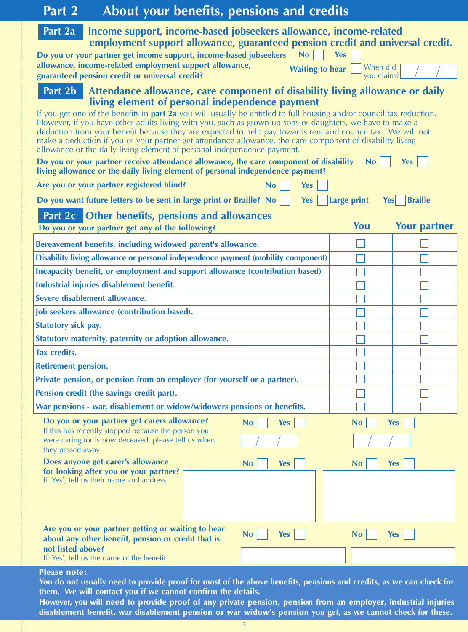| Part 2<br>About your benefits, pensions and credits                                                                                                                                                                                                                                                                                                                                                                                                                                                                                     |                                      |                     |
|-----------------------------------------------------------------------------------------------------------------------------------------------------------------------------------------------------------------------------------------------------------------------------------------------------------------------------------------------------------------------------------------------------------------------------------------------------------------------------------------------------------------------------------------|--------------------------------------|---------------------|
| Part 2a<br>Income support, income-based jobseekers allowance, income-related<br>employment support allowance, guaranteed pension credit and universal credit.<br>Do you or your partner get income support, income-based jobseekers<br>N <sub>o</sub><br>allowance, income-related employment support allowance,<br><b>Waiting to hear</b><br>guaranteed pension credit or universal credit?                                                                                                                                            | <b>Yes</b><br>When did<br>you claim? |                     |
| Part 2b Attendance allowance, care component of disability living allowance or daily                                                                                                                                                                                                                                                                                                                                                                                                                                                    |                                      |                     |
| living element of personal independence payment                                                                                                                                                                                                                                                                                                                                                                                                                                                                                         |                                      |                     |
| If you get one of the benefits in part 2a you will usually be entitled to full housing and/or council tax reduction.<br>However, if you have other adults living with you, such as grown up sons or daughters, we have to make a<br>deduction from your benefit because they are expected to help pay towards rent and council tax. We will not<br>make a deduction if you or your partner get attendance allowance, the care component of disability living<br>allowance or the daily living element of personal independence payment. |                                      |                     |
| Do you or your partner receive attendance allowance, the care component of disability<br>living allowance or the daily living element of personal independence payment?                                                                                                                                                                                                                                                                                                                                                                 | <b>No</b>                            | <b>Yes</b>          |
| Are you or your partner registered blind?<br><b>Yes</b><br>N <sub>o</sub>                                                                                                                                                                                                                                                                                                                                                                                                                                                               |                                      |                     |
| Do you want future letters to be sent in large print or Braille? No<br><b>Yes</b>                                                                                                                                                                                                                                                                                                                                                                                                                                                       | Large print<br>Yes                   | <b>Braille</b>      |
| Part 2c Other benefits, pensions and allowances                                                                                                                                                                                                                                                                                                                                                                                                                                                                                         |                                      |                     |
| Do you or your partner get any of the following?                                                                                                                                                                                                                                                                                                                                                                                                                                                                                        | You                                  | <b>Your partner</b> |
| Bereavement benefits, including widowed parent's allowance.                                                                                                                                                                                                                                                                                                                                                                                                                                                                             |                                      |                     |
| Disability living allowance or personal independence payment (mobility component)                                                                                                                                                                                                                                                                                                                                                                                                                                                       |                                      |                     |
| Incapacity benefit, or employment and support allowance (contribution based)                                                                                                                                                                                                                                                                                                                                                                                                                                                            |                                      |                     |
| Industrial injuries disablement benefit.                                                                                                                                                                                                                                                                                                                                                                                                                                                                                                |                                      |                     |
| Severe disablement allowance.                                                                                                                                                                                                                                                                                                                                                                                                                                                                                                           |                                      |                     |
| Job seekers allowance (contribution based).                                                                                                                                                                                                                                                                                                                                                                                                                                                                                             |                                      |                     |
| <b>Statutory sick pay.</b>                                                                                                                                                                                                                                                                                                                                                                                                                                                                                                              |                                      |                     |
| Statutory maternity, paternity or adoption allowance.                                                                                                                                                                                                                                                                                                                                                                                                                                                                                   |                                      |                     |
| <b>Tax credits.</b>                                                                                                                                                                                                                                                                                                                                                                                                                                                                                                                     |                                      |                     |
| <b>Retirement pension.</b>                                                                                                                                                                                                                                                                                                                                                                                                                                                                                                              |                                      |                     |
| Private pension, or pension from an employer (for yourself or a partner).                                                                                                                                                                                                                                                                                                                                                                                                                                                               |                                      |                     |
| Pension credit (the savings credit part).                                                                                                                                                                                                                                                                                                                                                                                                                                                                                               |                                      |                     |
| War pensions - war, disablement or widow/widowers pensions or benefits.                                                                                                                                                                                                                                                                                                                                                                                                                                                                 |                                      |                     |
| Do you or your partner get carers allowance?<br><b>No</b><br><b>Yes</b><br>If this has recently stopped because the person you                                                                                                                                                                                                                                                                                                                                                                                                          | <b>No</b>                            | <b>Yes</b>          |
| were caring for is now deceased, please tell us when<br>they passed away                                                                                                                                                                                                                                                                                                                                                                                                                                                                |                                      |                     |
| Does anyone get carer's allowance<br><b>Yes</b><br><b>No</b><br>for looking after you or your partner?                                                                                                                                                                                                                                                                                                                                                                                                                                  | <b>No</b>                            | <b>Yes</b>          |
| If 'Yes', tell us their name and address                                                                                                                                                                                                                                                                                                                                                                                                                                                                                                |                                      |                     |
| Are you or your partner getting or waiting to hear<br><b>No</b><br><b>Yes</b><br>about any other benefit, pension or credit that is                                                                                                                                                                                                                                                                                                                                                                                                     | <b>No</b>                            | <b>Yes</b>          |
| not listed above?<br>If 'Yes', tell us the name of the benefit.                                                                                                                                                                                                                                                                                                                                                                                                                                                                         |                                      |                     |

#### Please note:

**You do not usually need to provide proof for most of the above benefits, pensions and credits, as we can check for them. We will contact you if we cannot confirm the details.** 

**However, you** will need to provide proof of any private pension, pension from an employer, industrial injuries disablement benefit, war disablement pension or war widow's pension **you get, as we cannot check for these.** 

3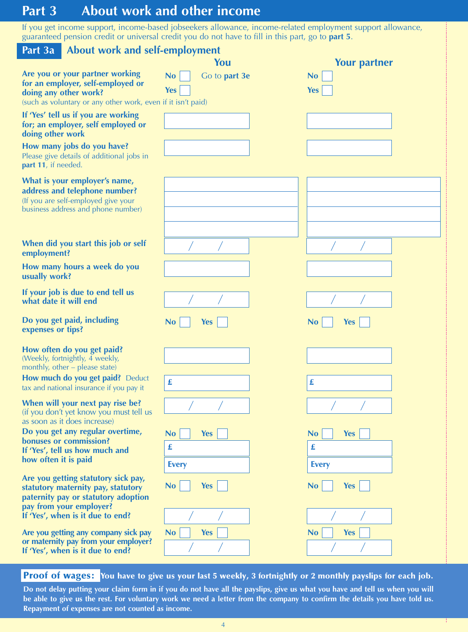# **Part 3 About work and other income**

If you get income support, income-based jobseekers allowance, income-related employment support allowance, guaranteed pension credit or universal credit you do not have to fill in this part, go to **part 5**.

| Part 3a<br><b>About work and self-employment</b>                                                            |                            |                         |
|-------------------------------------------------------------------------------------------------------------|----------------------------|-------------------------|
|                                                                                                             | You                        | <b>Your partner</b>     |
| Are you or your partner working<br>for an employer, self-employed or                                        | <b>No</b><br>Go to part 3e | <b>No</b>               |
| doing any other work?                                                                                       | <b>Yes</b>                 | <b>Yes</b>              |
| (such as voluntary or any other work, even if it isn't paid)<br>If 'Yes' tell us if you are working         |                            |                         |
| for; an employer, self employed or                                                                          |                            |                         |
| doing other work                                                                                            |                            |                         |
| How many jobs do you have?<br>Please give details of additional jobs in                                     |                            |                         |
| part 11, if needed.                                                                                         |                            |                         |
| What is your employer's name,                                                                               |                            |                         |
| address and telephone number?<br>(If you are self-employed give your                                        |                            |                         |
| business address and phone number)                                                                          |                            |                         |
|                                                                                                             |                            |                         |
| When did you start this job or self                                                                         |                            |                         |
| employment?                                                                                                 |                            |                         |
| How many hours a week do you<br>usually work?                                                               |                            |                         |
| If your job is due to end tell us<br>what date it will end                                                  |                            |                         |
| Do you get paid, including<br>expenses or tips?                                                             | <b>No</b><br><b>Yes</b>    | <b>No</b><br><b>Yes</b> |
| How often do you get paid?                                                                                  |                            |                         |
| (Weekly, fortnightly, 4 weekly,<br>monthly, other - please state)                                           |                            |                         |
| How much do you get paid? Deduct                                                                            | £                          | £                       |
| tax and national insurance if you pay it                                                                    |                            |                         |
| When will your next pay rise be?<br>(if you don't yet know you must tell us<br>as soon as it does increase) |                            |                         |
| Do you get any regular overtime,                                                                            | <b>No</b><br><b>Yes</b>    | <b>No</b><br><b>Yes</b> |
| bonuses or commission?<br>If 'Yes', tell us how much and                                                    | £                          | £                       |
| how often it is paid                                                                                        | <b>Every</b>               | <b>Every</b>            |
| Are you getting statutory sick pay,                                                                         |                            |                         |
| statutory maternity pay, statutory<br>paternity pay or statutory adoption                                   | <b>No</b><br><b>Yes</b>    | No<br><b>Yes</b>        |
| pay from your employer?<br>If 'Yes', when is it due to end?                                                 |                            |                         |
| Are you getting any company sick pay                                                                        | <b>No</b><br><b>Yes</b>    | <b>No</b><br><b>Yes</b> |
| or maternity pay from your employer?                                                                        |                            |                         |
| If 'Yes', when is it due to end?                                                                            |                            |                         |

Proof of wages: You have to give us your last 5 weekly, 3 fortnightly or 2 monthly payslips for each job.

**Do not delay putting your claim form in if you do not have all the payslips, give us what you have and tell us when you will be able to give us the rest. For voluntary work we need a letter from the company to confirm the details you have told us. Repayment of expenses are not counted as income.**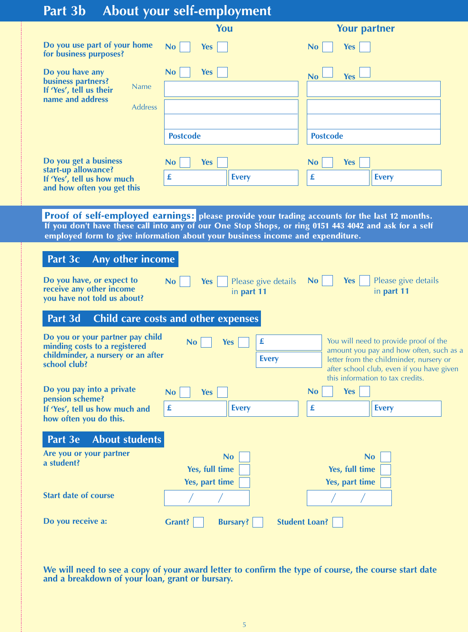| Part 3b                                                                                                                 | About your self-employment                                                                                                                                                                                                                                                              |                                                                                                                                                                                                              |
|-------------------------------------------------------------------------------------------------------------------------|-----------------------------------------------------------------------------------------------------------------------------------------------------------------------------------------------------------------------------------------------------------------------------------------|--------------------------------------------------------------------------------------------------------------------------------------------------------------------------------------------------------------|
|                                                                                                                         | You                                                                                                                                                                                                                                                                                     | <b>Your partner</b>                                                                                                                                                                                          |
| Do you use part of your home<br>for business purposes?                                                                  | N <sub>o</sub><br><b>Yes</b>                                                                                                                                                                                                                                                            | <b>No</b><br><b>Yes</b>                                                                                                                                                                                      |
| Do you have any<br>business partners?<br>If 'Yes', tell us their<br>name and address                                    | <b>No</b><br><b>Yes</b><br><b>Name</b>                                                                                                                                                                                                                                                  | <b>Yes</b><br><b>No</b>                                                                                                                                                                                      |
|                                                                                                                         | <b>Address</b><br><b>Postcode</b>                                                                                                                                                                                                                                                       | <b>Postcode</b>                                                                                                                                                                                              |
|                                                                                                                         |                                                                                                                                                                                                                                                                                         |                                                                                                                                                                                                              |
| Do you get a business<br>start-up allowance?                                                                            | <b>Yes</b><br><b>No</b>                                                                                                                                                                                                                                                                 | <b>Yes</b><br><b>No</b>                                                                                                                                                                                      |
| If 'Yes', tell us how much                                                                                              | £<br><b>Every</b>                                                                                                                                                                                                                                                                       | £<br><b>Every</b>                                                                                                                                                                                            |
| and how often you get this                                                                                              |                                                                                                                                                                                                                                                                                         |                                                                                                                                                                                                              |
|                                                                                                                         | Proof of self-employed earnings: please provide your trading accounts for the last 12 months.<br>If you don't have these call into any of our One Stop Shops, or ring 0151 443 4042 and ask for a self<br>employed form to give information about your business income and expenditure. |                                                                                                                                                                                                              |
| Any other income<br>Part 3c                                                                                             |                                                                                                                                                                                                                                                                                         |                                                                                                                                                                                                              |
| Do you have, or expect to<br>receive any other income<br>you have not told us about?                                    | No<br>Please give details<br><b>Yes</b><br>in part 11                                                                                                                                                                                                                                   | <b>No</b><br><b>Yes</b><br>Please give details<br>in part 11                                                                                                                                                 |
| Part 3d                                                                                                                 | <b>Child care costs and other expenses</b>                                                                                                                                                                                                                                              |                                                                                                                                                                                                              |
| Do you or your partner pay child<br>minding costs to a registered<br>childminder, a nursery or an after<br>school club? | <u>in the second contract of the second second contract of the second second second second second second second second</u><br>£<br><b>Yes</b><br><b>No</b><br><b>Every</b>                                                                                                              | You will need to provide proof of the<br>amount you pay and how often, such as a<br>letter from the childminder, nursery or<br>after school club, even if you have given<br>this information to tax credits. |
| Do you pay into a private                                                                                               | <b>No</b><br><b>Yes</b>                                                                                                                                                                                                                                                                 | <b>Yes</b><br><b>No</b>                                                                                                                                                                                      |
| pension scheme?<br>If 'Yes', tell us how much and<br>how often you do this.                                             | £<br><b>Every</b>                                                                                                                                                                                                                                                                       | £<br><b>Every</b>                                                                                                                                                                                            |
| <b>About students</b><br>Part 3e                                                                                        |                                                                                                                                                                                                                                                                                         |                                                                                                                                                                                                              |
| Are you or your partner                                                                                                 |                                                                                                                                                                                                                                                                                         |                                                                                                                                                                                                              |
| a student?                                                                                                              | <b>No</b><br>Yes, full time                                                                                                                                                                                                                                                             | <b>No</b><br>Yes, full time                                                                                                                                                                                  |
|                                                                                                                         | Yes, part time                                                                                                                                                                                                                                                                          | Yes, part time                                                                                                                                                                                               |
| <b>Start date of course</b>                                                                                             |                                                                                                                                                                                                                                                                                         |                                                                                                                                                                                                              |
| Do you receive a:                                                                                                       | Grant?<br><b>Bursary?</b>                                                                                                                                                                                                                                                               | <b>Student Loan?</b>                                                                                                                                                                                         |

**We will need to see a copy of your award letter to confirm the type of course, the course start date and a breakdown of your loan, grant or bursary.**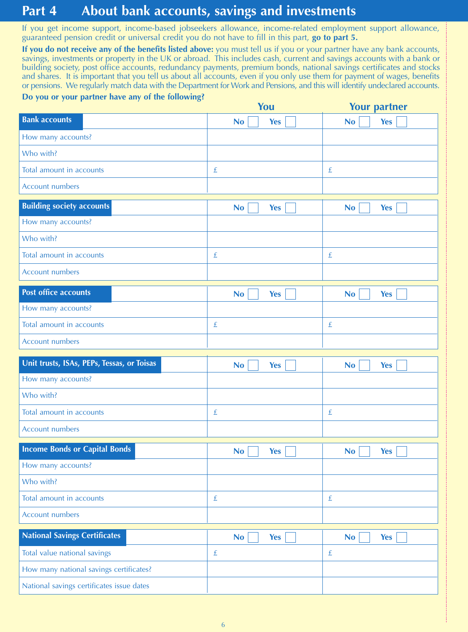# **Part 4 About bank accounts, savings and investments**

If you get income support, income-based jobseekers allowance, income-related employment support allowance, guaranteed pension credit or universal credit you do not have to fill in this part, **go to part 5.**

**If you do not receive any of the benefits listed above:** you must tell us if you or your partner have any bank accounts, savings, investments or property in the UK or abroad. This includes cash, current and savings accounts with a bank or building society, post office accounts, redundancy payments, premium bonds, national savings certificates and stocks and shares. It is important that you tell us about all accounts, even if you only use them for payment of wages, benefits or pensions. We regularly match data with the Department for Work and Pensions, and this will identify undeclared accounts.

#### **Do you or your partner have any of the following?**

|                                            | You                     | <b>Your partner</b>      |
|--------------------------------------------|-------------------------|--------------------------|
| <b>Bank accounts</b>                       | <b>Yes</b><br><b>No</b> | <b>No</b><br><b>Yes</b>  |
| How many accounts?                         |                         |                          |
| Who with?                                  |                         |                          |
| Total amount in accounts                   | $\mathbf f$             | $\pounds$                |
| <b>Account numbers</b>                     |                         |                          |
| <b>Building society accounts</b>           | <b>No</b><br><b>Yes</b> | <b>No</b><br><b>Yes</b>  |
| How many accounts?                         |                         |                          |
| Who with?                                  |                         |                          |
| Total amount in accounts                   | $\mathbf f$             | $\underline{\mathbf{f}}$ |
| <b>Account numbers</b>                     |                         |                          |
| <b>Post office accounts</b>                | <b>No</b><br><b>Yes</b> | <b>No</b><br><b>Yes</b>  |
| How many accounts?                         |                         |                          |
| Total amount in accounts                   | $\mathbf f$             | £                        |
| <b>Account numbers</b>                     |                         |                          |
|                                            |                         |                          |
| Unit trusts, ISAs, PEPs, Tessas, or Toisas | <b>No</b><br><b>Yes</b> | <b>No</b><br><b>Yes</b>  |
| How many accounts?                         |                         |                          |
| Who with?                                  |                         |                          |
| Total amount in accounts                   | $\mathbf f$             | £                        |
| <b>Account numbers</b>                     |                         |                          |
| <b>Income Bonds or Capital Bonds</b>       | <b>No</b><br><b>Yes</b> | <b>Yes</b><br><b>No</b>  |
| How many accounts?                         |                         |                          |
| Who with?                                  |                         |                          |
| Total amount in accounts                   | $\pounds$               | $\pounds$                |
| <b>Account numbers</b>                     |                         |                          |
| <b>National Savings Certificates</b>       | No<br><b>Yes</b>        | <b>No</b><br><b>Yes</b>  |
| Total value national savings               | $\pounds$               | $\underline{\mathbf{f}}$ |
| How many national savings certificates?    |                         |                          |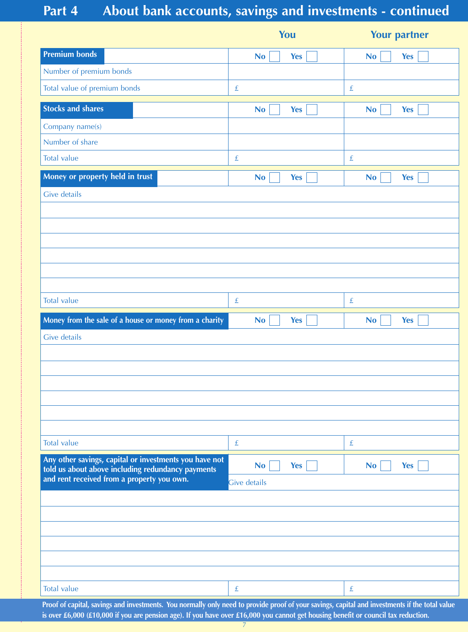# **Part 4 About bank accounts, savings and investments - continued**

|                                                                                                                                                | You                     | <b>Your partner</b>     |
|------------------------------------------------------------------------------------------------------------------------------------------------|-------------------------|-------------------------|
| <b>Premium bonds</b>                                                                                                                           | <b>No</b><br><b>Yes</b> | <b>No</b><br><b>Yes</b> |
| Number of premium bonds                                                                                                                        |                         |                         |
| Total value of premium bonds                                                                                                                   | $\pounds$               | $\pounds$               |
| <b>Stocks and shares</b>                                                                                                                       | <b>No</b><br><b>Yes</b> | <b>No</b><br><b>Yes</b> |
| Company name(s)                                                                                                                                |                         |                         |
| Number of share                                                                                                                                |                         |                         |
| <b>Total value</b>                                                                                                                             | $\pounds$               | $\pounds$               |
| Money or property held in trust                                                                                                                | <b>No</b><br><b>Yes</b> | <b>No</b><br><b>Yes</b> |
| <b>Give details</b>                                                                                                                            |                         |                         |
|                                                                                                                                                |                         |                         |
|                                                                                                                                                |                         |                         |
|                                                                                                                                                |                         |                         |
|                                                                                                                                                |                         |                         |
|                                                                                                                                                |                         |                         |
| <b>Total value</b>                                                                                                                             | $\pounds$               | $\pounds$               |
| Money from the sale of a house or money from a charity                                                                                         | <b>No</b><br><b>Yes</b> | <b>No</b><br><b>Yes</b> |
| <b>Give details</b>                                                                                                                            |                         |                         |
|                                                                                                                                                |                         |                         |
|                                                                                                                                                |                         |                         |
|                                                                                                                                                |                         |                         |
|                                                                                                                                                |                         |                         |
|                                                                                                                                                |                         |                         |
|                                                                                                                                                |                         |                         |
| <b>Total value</b>                                                                                                                             | $\pounds$               | £                       |
| Any other savings, capital or investments you have not<br>told us about above including redundancy payments                                    | <b>No</b><br><b>Yes</b> | <b>No</b><br><b>Yes</b> |
| and rent received from a property you own.                                                                                                     | <b>Give details</b>     |                         |
|                                                                                                                                                |                         |                         |
|                                                                                                                                                |                         |                         |
|                                                                                                                                                |                         |                         |
|                                                                                                                                                |                         |                         |
|                                                                                                                                                |                         |                         |
| <b>Total value</b>                                                                                                                             | £                       | $\pounds$               |
| Proof of capital, savings and investments. You normally only need to provide proof of your savings, capital and investments if the total value |                         |                         |

**is over £6,000 (£10,000 if you are pension age). If you have over £16,000 you cannot get housing benefit or council tax reduction.**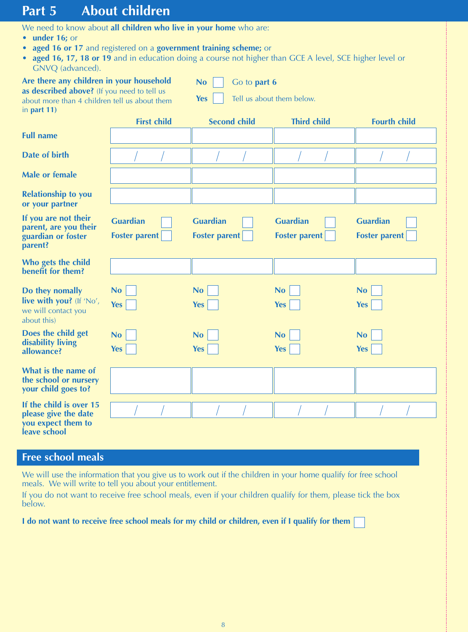# **Part 5 About children**

We need to know about **all children who live in your home** who are:

- **under 16;** or
- **aged 16 or 17** and registered on a **government training scheme;** or
- **aged 16, 17, 18 or 19** and in education doing a course not higher than GCE A level, SCE higher level or GNVQ (advanced).

| GNVQ (advanced).                                                                                                                                        |                                         |                                         |                                         |                                         |
|---------------------------------------------------------------------------------------------------------------------------------------------------------|-----------------------------------------|-----------------------------------------|-----------------------------------------|-----------------------------------------|
| Are there any children in your household<br>as described above? (If you need to tell us<br>about more than 4 children tell us about them<br>in part 11) |                                         | Go to part 6<br><b>No</b><br><b>Yes</b> | Tell us about them below.               |                                         |
|                                                                                                                                                         | <b>First child</b>                      | <b>Second child</b>                     | <b>Third child</b>                      | <b>Fourth child</b>                     |
| <b>Full name</b>                                                                                                                                        |                                         |                                         |                                         |                                         |
| <b>Date of birth</b>                                                                                                                                    |                                         |                                         |                                         |                                         |
| <b>Male or female</b>                                                                                                                                   |                                         |                                         |                                         |                                         |
| <b>Relationship to you</b><br>or your partner                                                                                                           |                                         |                                         |                                         |                                         |
| If you are not their<br>parent, are you their<br>guardian or foster<br>parent?                                                                          | <b>Guardian</b><br><b>Foster parent</b> | <b>Guardian</b><br><b>Foster parent</b> | <b>Guardian</b><br><b>Foster parent</b> | <b>Guardian</b><br><b>Foster parent</b> |
| Who gets the child<br>benefit for them?                                                                                                                 |                                         |                                         |                                         |                                         |
| Do they nomally<br>live with you? (If 'No',<br>we will contact you<br>about this)                                                                       | <b>No</b><br><b>Yes</b>                 | <b>No</b><br><b>Yes</b>                 | <b>No</b><br><b>Yes</b>                 | <b>No</b><br><b>Yes</b>                 |
| Does the child get<br>disability living<br>allowance?                                                                                                   | <b>No</b><br><b>Yes</b>                 | <b>No</b><br><b>Yes</b>                 | <b>No</b><br><b>Yes</b>                 | <b>No</b><br><b>Yes</b>                 |
| What is the name of<br>the school or nursery<br>your child goes to?                                                                                     |                                         |                                         |                                         |                                         |
| If the child is over 15<br>please give the date<br>you expect them to<br>leave school                                                                   |                                         |                                         |                                         |                                         |
|                                                                                                                                                         |                                         |                                         |                                         |                                         |

### **Free school meals**

We will use the information that you give us to work out if the children in your home qualify for free school meals. We will write to tell you about your entitlement.

If you do not want to receive free school meals, even if your children qualify for them, please tick the box below.

**I do not want to receive free school meals for my child or children, even if I qualify for them**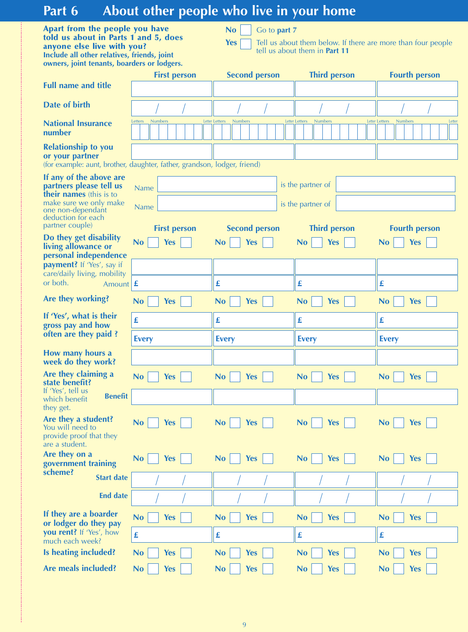# **Part 6 About other people who live in your home**

| Apart from the people you have              |
|---------------------------------------------|
| told us about in Parts 1 and 5, does        |
| anyone else live with you?                  |
| Include all other relatives, friends, joint |
| owners, joint tenants, boarders or lodgers. |

**No** Go to **part 7** 

**Yes Tell** us about them below. If there are more than four people tell us about them in **Part 11**

|                                                                                                                           | <b>First person</b>                     | <b>Second person</b>                           | <b>Third person</b>                            | <b>Fourth person</b>                              |
|---------------------------------------------------------------------------------------------------------------------------|-----------------------------------------|------------------------------------------------|------------------------------------------------|---------------------------------------------------|
| <b>Full name and title</b>                                                                                                |                                         |                                                |                                                |                                                   |
| <b>Date of birth</b>                                                                                                      |                                         |                                                |                                                |                                                   |
| <b>National Insurance</b><br>number                                                                                       | <b>Numbers</b><br>Letters               | <b>Letter Letters</b><br><b>Numbers</b>        | <b>Letter Letters</b><br><b>Numbers</b>        | <b>Letter Letters</b><br><b>Numbers</b><br>Letter |
| <b>Relationship to you</b><br>or your partner<br>(for example: aunt, brother, daughter, father, grandson, lodger, friend) |                                         |                                                |                                                |                                                   |
| If any of the above are<br>partners please tell us<br>their names (this is to                                             | <b>Name</b>                             |                                                | is the partner of                              |                                                   |
| make sure we only make<br>one non-dependant<br>deduction for each<br>partner couple)                                      | <b>Name</b>                             |                                                | is the partner of                              |                                                   |
| Do they get disability<br>living allowance or                                                                             | <b>First person</b><br><b>Yes</b><br>No | <b>Second person</b><br>Yes<br>No <sub>1</sub> | <b>Third person</b><br>Yes<br>$\overline{N_0}$ | <b>Fourth person</b><br>Yes<br>No                 |
| personal independence<br>payment? If 'Yes', say if<br>care/daily living, mobility                                         |                                         |                                                |                                                |                                                   |
| or both.<br>Amount $\mathbf{\mathbf{\mathbf{\epsilon}}}$                                                                  |                                         | £                                              | £                                              | £                                                 |
| Are they working?                                                                                                         | <b>No</b><br><b>Yes</b>                 | <b>No</b><br><b>Yes</b>                        | <b>No</b><br><b>Yes</b>                        | <b>No</b><br><b>Yes</b>                           |
| If 'Yes', what is their<br>gross pay and how                                                                              | £                                       | £                                              | £                                              | £                                                 |
| often are they paid?                                                                                                      | <b>Every</b>                            | <b>Every</b>                                   | <b>Every</b>                                   | <b>Every</b>                                      |
| How many hours a<br>week do they work?                                                                                    |                                         |                                                |                                                |                                                   |
| Are they claiming a<br>state benefit?                                                                                     | No<br><b>Yes</b>                        | No<br><b>Yes</b>                               | N <sub>o</sub><br><b>Yes</b>                   | N <sub>o</sub><br><b>Yes</b>                      |
| If 'Yes', tell us<br><b>Benefit</b><br>which benefit<br>they get.                                                         |                                         |                                                |                                                |                                                   |
| Are they a student?<br>You will need to<br>provide proof that they<br>are a student.                                      | <b>Yes</b><br>N <sub>o</sub>            | No<br><b>Yes</b>                               | <b>No</b><br><b>Yes</b>                        | <b>Yes</b><br>N <sub>o</sub>                      |
| Are they on a<br>government training                                                                                      | <b>Yes</b><br>N <sub>o</sub>            | <b>Yes</b><br><b>No</b>                        | <b>Yes</b><br><b>No</b>                        | <b>Yes</b><br><b>No</b>                           |
| scheme?<br><b>Start date</b>                                                                                              |                                         |                                                |                                                |                                                   |
| <b>End date</b>                                                                                                           |                                         |                                                |                                                |                                                   |
| If they are a boarder<br>or lodger do they pay                                                                            | <b>Yes</b><br><b>No</b>                 | <b>No</b><br><b>Yes</b>                        | <b>No</b><br><b>Yes</b>                        | <b>No</b><br><b>Yes</b>                           |
| you rent? If 'Yes', how<br>much each week?                                                                                | £                                       | £                                              | £                                              | £                                                 |
| Is heating included?                                                                                                      | <b>Yes</b><br><b>No</b>                 | <b>No</b><br><b>Yes</b>                        | <b>No</b><br><b>Yes</b>                        | <b>Yes</b><br><b>No</b>                           |
| <b>Are meals included?</b>                                                                                                | <b>No</b><br><b>Yes</b>                 | <b>Yes</b><br><b>No</b>                        | <b>Yes</b><br><b>No</b>                        | <b>Yes</b><br><b>No</b>                           |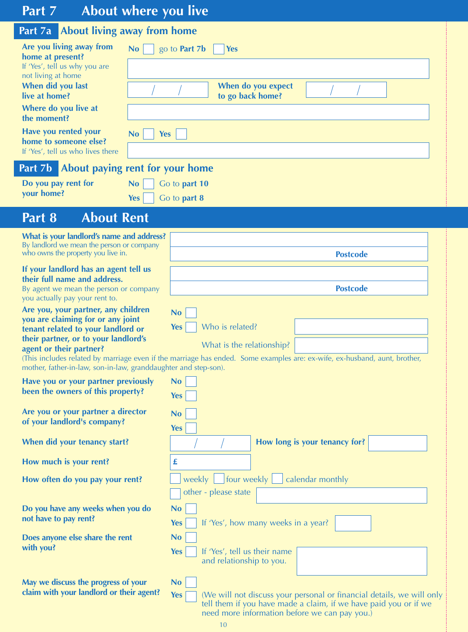| Part 7                                                                                                                       | About where you live                                                                                                      |  |
|------------------------------------------------------------------------------------------------------------------------------|---------------------------------------------------------------------------------------------------------------------------|--|
| Part 7a                                                                                                                      | <b>About living away from home</b>                                                                                        |  |
| Are you living away from<br>home at present?                                                                                 | go to <b>Part 7b</b><br><b>No</b><br><b>Yes</b>                                                                           |  |
| If 'Yes', tell us why you are                                                                                                |                                                                                                                           |  |
| not living at home<br>When did you last<br>live at home?                                                                     | When do you expect<br>to go back home?                                                                                    |  |
| Where do you live at<br>the moment?                                                                                          |                                                                                                                           |  |
| Have you rented your<br>home to someone else?                                                                                | <b>No</b><br><b>Yes</b>                                                                                                   |  |
| If 'Yes', tell us who lives there                                                                                            |                                                                                                                           |  |
| Part 7b                                                                                                                      | About paying rent for your home                                                                                           |  |
| Do you pay rent for<br>your home?                                                                                            | N <sub>o</sub><br>Go to part 10                                                                                           |  |
|                                                                                                                              | <b>Yes</b><br>Go to part 8                                                                                                |  |
| <b>About Rent</b><br>Part 8                                                                                                  |                                                                                                                           |  |
| What is your landlord's name and address?<br>By landlord we mean the person or company<br>who owns the property you live in. | <b>Postcode</b>                                                                                                           |  |
| If your landlord has an agent tell us                                                                                        |                                                                                                                           |  |
| their full name and address.<br>By agent we mean the person or company                                                       | <b>Postcode</b>                                                                                                           |  |
| you actually pay your rent to.                                                                                               |                                                                                                                           |  |
| Are you, your partner, any children<br>you are claiming for or any joint                                                     | <b>No</b>                                                                                                                 |  |
| tenant related to your landlord or<br>their partner, or to your landlord's                                                   | Who is related?<br><b>Yes</b>                                                                                             |  |
| agent or their partner?                                                                                                      | What is the relationship?                                                                                                 |  |
| mother, father-in-law, son-in-law, granddaughter and step-son).                                                              | (This includes related by marriage even if the marriage has ended. Some examples are: ex-wife, ex-husband, aunt, brother, |  |
| Have you or your partner previously<br>been the owners of this property?                                                     | <b>No</b><br><b>Yes</b>                                                                                                   |  |
| Are you or your partner a director<br>of your landlord's company?                                                            | <b>No</b>                                                                                                                 |  |
|                                                                                                                              | <b>Yes</b>                                                                                                                |  |

How much is your rent?

**How often do you pay your** 

**Do you have any weeks when you do not have to pay rent?**

**Does anyone else share the re with you?**

**May we discuss the progress of your claim with your landlord or their agent?**

| CVIOUSLY   | I VV                                                                                |
|------------|-------------------------------------------------------------------------------------|
| perty?     | <b>Yes</b>                                                                          |
| rector     | <b>No</b>                                                                           |
|            | <b>Yes</b>                                                                          |
| E?         | How long is your tenancy for?                                                       |
|            | £                                                                                   |
| rent?      | four weekly<br>calendar monthly<br>weekly                                           |
|            | other - please state                                                                |
| i you do   | <b>No</b>                                                                           |
|            | If 'Yes', how many weeks in a year?<br><b>Yes</b>                                   |
| nt:        | <b>No</b>                                                                           |
|            | <b>Yes</b><br>If 'Yes', tell us their name                                          |
|            | and relationship to you.                                                            |
| of your    | <b>No</b>                                                                           |
| eir agent? | (We will not discuss your personal or financial details, we will only<br><b>Yes</b> |

tell them if you have made a claim, if we have paid you or if we

need more information before we can pay you.)

10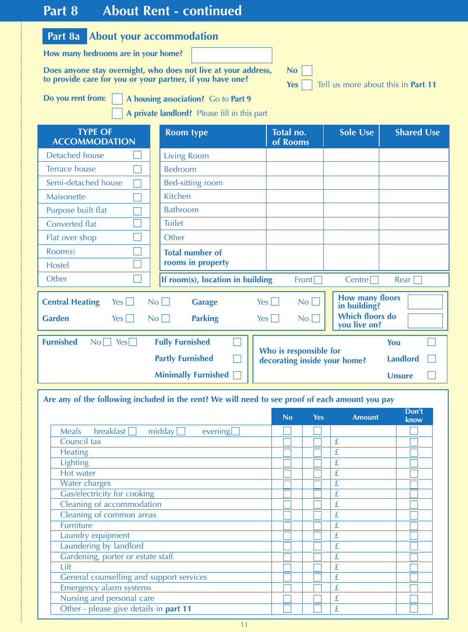# **Part 8 About Rent - continued**

|  | Part 8a About your accommodation |  |
|--|----------------------------------|--|
|  |                                  |  |

**How many bedrooms are in your home?** 

**Does anyone stay overnight, who does not live at your address, to provide care for you or your partner, if you have one?**

| L<br>er<br>Bernard (1990) |  |
|---------------------------|--|
|                           |  |

**Yes** Tell us more about this in **Part 11**

| Do you rent from: $\vert$ |
|---------------------------|
|---------------------------|

**A housing association?** Go to **Part 9 A private landlord?** Please fill in this part

| <b>TYPE OF</b><br><b>ACCOMMODATION</b>                                                                                                                                                                                                                            | <b>Room type</b>                                                                | Total no.<br>of Rooms                                  | <b>Shared Use</b><br><b>Sole Use</b>    |  |
|-------------------------------------------------------------------------------------------------------------------------------------------------------------------------------------------------------------------------------------------------------------------|---------------------------------------------------------------------------------|--------------------------------------------------------|-----------------------------------------|--|
| Detached house                                                                                                                                                                                                                                                    | <b>Living Room</b>                                                              |                                                        |                                         |  |
| <b>Terrace house</b>                                                                                                                                                                                                                                              | <b>Bedroom</b>                                                                  |                                                        |                                         |  |
| Semi-detached house                                                                                                                                                                                                                                               | <b>Bed-sitting room</b>                                                         |                                                        |                                         |  |
| Maisonette                                                                                                                                                                                                                                                        | Kitchen                                                                         |                                                        |                                         |  |
| Purpose built flat                                                                                                                                                                                                                                                | <b>Bathroom</b>                                                                 |                                                        |                                         |  |
| <b>Converted flat</b>                                                                                                                                                                                                                                             | <b>Toilet</b>                                                                   |                                                        |                                         |  |
| Flat over shop                                                                                                                                                                                                                                                    | Other                                                                           |                                                        |                                         |  |
| Room(s)                                                                                                                                                                                                                                                           | <b>Total number of</b>                                                          |                                                        |                                         |  |
| Hostel                                                                                                                                                                                                                                                            | rooms in property                                                               |                                                        |                                         |  |
| Other                                                                                                                                                                                                                                                             | If room(s), location in building                                                | $From \sqrt{\frac{1}{1}}$                              | Rear<br>Centre                          |  |
| <b>How many floors</b><br>No <sub>1</sub><br><b>Central Heating</b><br>Yes<br>$Yes \Box$<br>No<br><b>Garage</b><br>in building?<br><b>Which floors do</b><br><b>Parking</b><br><b>Garden</b><br>$Yes \Box$<br>No<br>$Yes \Box$<br>No <sub>1</sub><br>you live on? |                                                                                 |                                                        |                                         |  |
| <b>Furnished</b><br>Yes<br>$\overline{N_0}$                                                                                                                                                                                                                       | <b>Fully Furnished</b><br><b>Partly Furnished</b><br><b>Minimally Furnished</b> | Who is responsible for<br>decorating inside your home? | You<br><b>Landlord</b><br><b>Unsure</b> |  |

### **Are any of the following included in the rent? We will need to see proof of each amount you pay**

|                                                  | No | <b>Yes</b> | <b>Amount</b> | Don't<br>know |
|--------------------------------------------------|----|------------|---------------|---------------|
| breakfast $\Box$<br>midday [<br>Meals<br>evening |    |            |               |               |
| Council tax                                      |    |            | £             |               |
| <b>Heating</b>                                   |    |            | £             |               |
| Lighting                                         |    |            | £             |               |
| Hot water                                        |    |            | £             |               |
| Water charges                                    |    |            | £             |               |
| Gas/electricity for cooking                      |    |            | £             |               |
| Cleaning of accommodation                        |    |            | £             |               |
| Cleaning of common areas                         |    |            | £             |               |
| Furniture                                        |    |            | £             |               |
| Laundry equipment                                |    |            | £             |               |
| Laundering by landlord                           |    |            | £             |               |
| Gardening, porter or estate staff                |    |            | £             |               |
| Lift                                             |    |            | £             |               |
| General counselling and support services         |    |            | £             |               |
| Emergency alarm systems                          |    |            | £             |               |
| Nursing and personal care                        |    |            | £             |               |
| Other - please give details in part 11           |    |            | £             |               |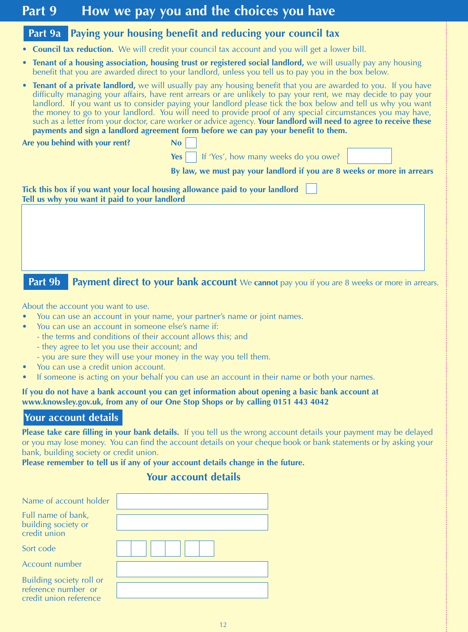# **Part 9** How we pay you and the choices you have

### **Part 9a Paying your housing benefit and reducing your council tax**

- **Council tax reduction.** We will credit your council tax account and you will get a lower bill.
- **Tenant of a housing association, housing trust or registered social landlord,** we will usually pay any housing benefit that you are awarded direct to your landlord, unless you tell us to pay you in the box below.
- **Tenant of a private landlord,** we will usually pay any housing benefit that you are awarded to you. If you have difficulty managing your affairs, have rent arrears or are unlikely to pay your rent, we may decide to pay your landlord. If you want us to consider paying your landlord please tick the box below and tell us why you want the money to go to your landlord. You will need to provide proof of any special circumstances you may have, such as a letter from your doctor, care worker or advice agency. **Your landlord will need to agree to receive these payments and sign a landlord agreement form before we can pay your benefit to them.**

**Are you behind with your rent?** No

| $\mathbf{N}$ |                                                 |  |  |  |
|--------------|-------------------------------------------------|--|--|--|
|              | Yes $\Box$ If 'Yes', how many weeks do you owe? |  |  |  |

**By law, we must pay your landlord if you are 8 weeks or more in arrears**

**Tick this box if you want your local housing allowance paid to your landlord Tell us why you want it paid to your landlord** 

**Part 9b Payment direct to your bank account** We cannot pay you if you are 8 weeks or more in arrears.

About the account you want to use.

- You can use an account in your name, your partner's name or joint names.
- You can use an account in someone else's name if:
	- the terms and conditions of their account allows this; and
		- they agree to let you use their account; and
		- you are sure they will use your money in the way you tell them.
- You can use a credit union account.
- If someone is acting on your behalf you can use an account in their name or both your names.

#### **If you do not have a bank account you can get information about opening a basic bank account at www.knowsley.gov.uk, from any of our One Stop Shops or by calling 0151 443 4042**

### **Your account details**

**Please take care filling in your bank details.** If you tell us the wrong account details your payment may be delayed or you may lose money. You can find the account details on your cheque book or bank statements or by asking your bank, building society or credit union.

**Please remember to tell us if any of your account details change in the future.**

### **Your account details**

| Name of account holder                                                    |  |
|---------------------------------------------------------------------------|--|
| Full name of bank,<br>building society or                                 |  |
| credit union                                                              |  |
| Sort code                                                                 |  |
| <b>Account number</b>                                                     |  |
|                                                                           |  |
|                                                                           |  |
| Building society roll or<br>reference number or<br>credit union reference |  |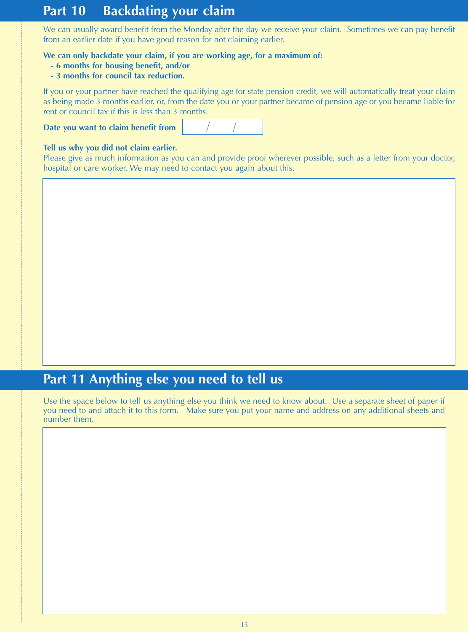# **Part 10 Backdating your claim**

We can usually award benefit from the Monday after the day we receive your claim. Sometimes we can pay benefit from an earlier date if you have good reason for not claiming earlier.

#### **We can only backdate your claim, if you are working age, for a maximum of:**

- **- 6 months for housing benefit, and/or**
- **- 3 months for council tax reduction.**

If you or your partner have reached the qualifying age for state pension credit, we will automatically treat your claim as being made 3 months earlier, or, from the date you or your partner became of pension age or you became liable for rent or council tax if this is less than 3 months.

**Date you want to claim benefit from**



#### **Tell us why you did not claim earlier.**

Please give as much information as you can and provide proof wherever possible, such as a letter from your doctor, hospital or care worker. We may need to contact you again about this.

# **Part 11 Anything else you need to tell us**

Use the space below to tell us anything else you think we need to know about. Use a separate sheet of paper if you need to and attach it to this form. Make sure you put your name and address on any additional sheets and number them.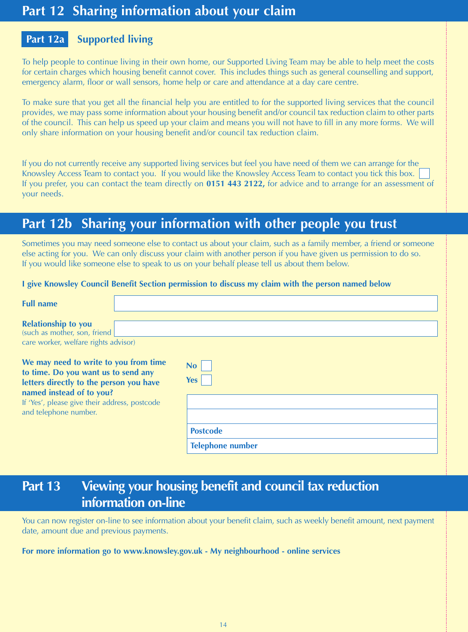# **Part 12 Sharing information about your claim**

### **Part 12a Supported living**

To help people to continue living in their own home, our Supported Living Team may be able to help meet the costs for certain charges which housing benefit cannot cover. This includes things such as general counselling and support, emergency alarm, floor or wall sensors, home help or care and attendance at a day care centre.

To make sure that you get all the financial help you are entitled to for the supported living services that the council provides, we may pass some information about your housing benefit and/or council tax reduction claim to other parts of the council. This can help us speed up your claim and means you will not have to fill in any more forms. We will only share information on your housing benefit and/or council tax reduction claim.

If you do not currently receive any supported living services but feel you have need of them we can arrange for the Knowsley Access Team to contact you. If you would like the Knowsley Access Team to contact you tick this box. If you prefer, you can contact the team directly on **0151 443 2122,** for advice and to arrange for an assessment of your needs.

# **Part 12b Sharing your information with other people you trust**

Sometimes you may need someone else to contact us about your claim, such as a family member, a friend or someone else acting for you. We can only discuss your claim with another person if you have given us permission to do so. If you would like someone else to speak to us on your behalf please tell us about them below.

#### **I give Knowsley Council Benefit Section permission to discuss my claim with the person named below**

| <b>Full name</b>                                                                                                                                                                                     |                         |  |
|------------------------------------------------------------------------------------------------------------------------------------------------------------------------------------------------------|-------------------------|--|
| <b>Relationship to you</b><br>(such as mother, son, friend<br>care worker, welfare rights advisor)                                                                                                   |                         |  |
| We may need to write to you from time<br>to time. Do you want us to send any<br>letters directly to the person you have<br>named instead of to you?<br>If 'Yes', please give their address, postcode | No<br><b>Yes</b>        |  |
| and telephone number.                                                                                                                                                                                | <b>Postcode</b>         |  |
|                                                                                                                                                                                                      | <b>Telephone number</b> |  |

# **Part 13 Viewing your housing benefit and council tax reduction information on-line**

You can now register on-line to see information about your benefit claim, such as weekly benefit amount, next payment date, amount due and previous payments.

#### **For more information go to www.knowsley.gov.uk - My neighbourhood - online services**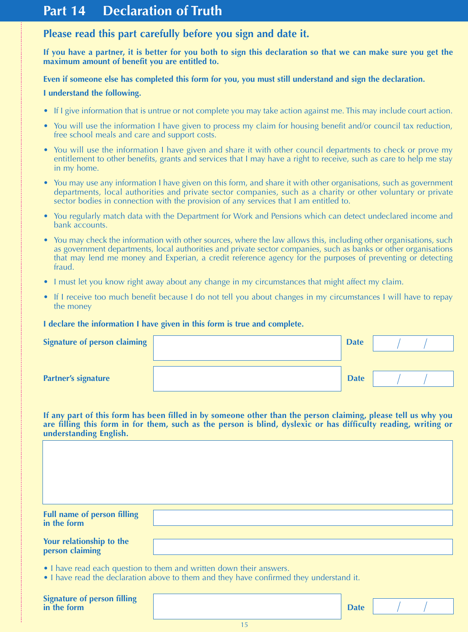# **Part 14 Declaration of Truth**

### **Please read this part carefully before you sign and date it.**

**If you have a partner, it is better for you both to sign this declaration so that we can make sure you get the maximum amount of benefit you are entitled to.**

**Even if someone else has completed this form for you, you must still understand and sign the declaration.**

#### **I understand the following.**

- If I give information that is untrue or not complete you may take action against me. This may include court action.
- You will use the information I have given to process my claim for housing benefit and/or council tax reduction, free school meals and care and support costs.
- You will use the information I have given and share it with other council departments to check or prove my entitlement to other benefits, grants and services that I may have a right to receive, such as care to help me stay in my home.
- You may use any information I have given on this form, and share it with other organisations, such as government departments, local authorities and private sector companies, such as a charity or other voluntary or private sector bodies in connection with the provision of any services that I am entitled to.
- You regularly match data with the Department for Work and Pensions which can detect undeclared income and bank accounts.
- You may check the information with other sources, where the law allows this, including other organisations, such as government departments, local authorities and private sector companies, such as banks or other organisations that may lend me money and Experian, a credit reference agency for the purposes of preventing or detecting fraud.
- I must let you know right away about any change in my circumstances that might affect my claim.
- If I receive too much benefit because I do not tell you about changes in my circumstances I will have to repay the money

#### **I declare the information I have given in this form is true and complete.**

| Signature of person claiming | <b>Date</b> |  |
|------------------------------|-------------|--|
| <b>Partner's signature</b>   | <b>Date</b> |  |

**If any part of this form has been filled in by someone other than the person claiming, please tell us why you are filling this form in for them, such as the person is blind, dyslexic or has difficulty reading, writing or understanding English.**

**Full name of person filling in the form** 

#### **Your relationship to the person claiming**

- I have read each question to them and written down their answers.
- I have read the declaration above to them and they have confirmed they understand it.

| <b>Signature of person filling</b> |             |
|------------------------------------|-------------|
| in the form                        | <b>Date</b> |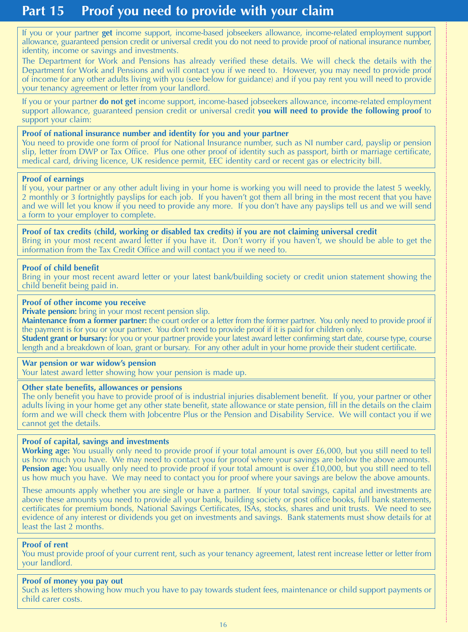# **Part 15 Proof you need to provide with your claim**

If you or your partner **get** income support, income-based jobseekers allowance, income-related employment support allowance, guaranteed pension credit or universal credit you do not need to provide proof of national insurance number, identity, income or savings and investments.

The Department for Work and Pensions has already verified these details. We will check the details with the Department for Work and Pensions and will contact you if we need to. However, you may need to provide proof of income for any other adults living with you (see below for guidance) and if you pay rent you will need to provide your tenancy agreement or letter from your landlord.

If you or your partner **do not get** income support, income-based jobseekers allowance, income-related employment support allowance, guaranteed pension credit or universal credit **you will need to provide the following proof** to support your claim:

#### **Proof of national insurance number and identity for you and your partner**

You need to provide one form of proof for National Insurance number, such as NI number card, payslip or pension slip, letter from DWP or Tax Office. Plus one other proof of identity such as passport, birth or marriage certificate, medical card, driving licence, UK residence permit, EEC identity card or recent gas or electricity bill.

#### **Proof of earnings**

If you, your partner or any other adult living in your home is working you will need to provide the latest 5 weekly, 2 monthly or 3 fortnightly payslips for each job. If you haven't got them all bring in the most recent that you have and we will let you know if you need to provide any more. If you don't have any payslips tell us and we will send a form to your employer to complete.

### **Proof of tax credits (child, working or disabled tax credits) if you are not claiming universal credit**

Bring in your most recent award letter if you have it. Don't worry if you haven't, we should be able to get the information from the Tax Credit Office and will contact you if we need to.

#### **Proof of child benefit**

Bring in your most recent award letter or your latest bank/building society or credit union statement showing the child benefit being paid in.

#### **Proof of other income you receive**

**Private pension:** bring in your most recent pension slip.

**Maintenance from a former partner:** the court order or a letter from the former partner. You only need to provide proof if the payment is for you or your partner. You don't need to provide proof if it is paid for children only. **Student grant or bursary:** for you or your partner provide your latest award letter confirming start date, course type, course length and a breakdown of loan, grant or bursary. For any other adult in your home provide their student certificate.

#### **War pension or war widow's pension**

Your latest award letter showing how your pension is made up.

#### **Other state benefits, allowances or pensions**

The only benefit you have to provide proof of is industrial injuries disablement benefit. If you, your partner or other adults living in your home get any other state benefit, state allowance or state pension, fill in the details on the claim form and we will check them with Jobcentre Plus or the Pension and Disability Service. We will contact you if we cannot get the details.

#### **Proof of capital, savings and investments**

**Working age:** You usually only need to provide proof if your total amount is over £6,000, but you still need to tell us how much you have. We may need to contact you for proof where your savings are below the above amounts. **Pension age:** You usually only need to provide proof if your total amount is over £10,000, but you still need to tell us how much you have. We may need to contact you for proof where your savings are below the above amounts.

These amounts apply whether you are single or have a partner. If your total savings, capital and investments are above these amounts you need to provide all your bank, building society or post office books, full bank statements, certificates for premium bonds, National Savings Certificates, ISAs, stocks, shares and unit trusts. We need to see evidence of any interest or dividends you get on investments and savings. Bank statements must show details for at least the last 2 months.

#### **Proof of rent**

You must provide proof of your current rent, such as your tenancy agreement, latest rent increase letter or letter from your landlord.

#### **Proof of money you pay out**

Such as letters showing how much you have to pay towards student fees, maintenance or child support payments or child carer costs.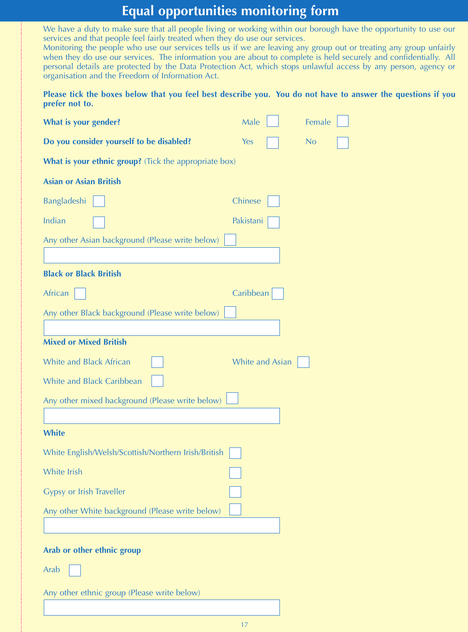# **Equal opportunities monitoring form**

We have a duty to make sure that all people living or working within our borough have the opportunity to use our services and that people feel fairly treated when they do use our services.

Monitoring the people who use our services tells us if we are leaving any group out or treating any group unfairly when they do use our services. The information you are about to complete is held securely and confidentially. All personal details are protected by the Data Protection Act, which stops unlawful access by any person, agency or organisation and the Freedom of Information Act.

**Please tick the boxes below that you feel best describe you. You do not have to answer the questions if you prefer not to.**

| What is your gender?                                         | Male            | Female    |
|--------------------------------------------------------------|-----------------|-----------|
| Do you consider yourself to be disabled?                     | Yes             | <b>No</b> |
| <b>What is your ethnic group?</b> (Tick the appropriate box) |                 |           |
| <b>Asian or Asian British</b>                                |                 |           |
| Bangladeshi                                                  | Chinese         |           |
| Indian                                                       | Pakistani       |           |
| Any other Asian background (Please write below)              |                 |           |
|                                                              |                 |           |
| <b>Black or Black British</b>                                |                 |           |
| African                                                      | Caribbean       |           |
| Any other Black background (Please write below)              |                 |           |
|                                                              |                 |           |
| <b>Mixed or Mixed British</b>                                |                 |           |
| <b>White and Black African</b>                               | White and Asian |           |
| <b>White and Black Caribbean</b>                             |                 |           |
| Any other mixed background (Please write below)              |                 |           |
|                                                              |                 |           |
| <b>White</b>                                                 |                 |           |
| White English/Welsh/Scottish/Northern Irish/British          |                 |           |
| White Irish                                                  |                 |           |
| <b>Gypsy or Irish Traveller</b>                              |                 |           |
| Any other White background (Please write below)              |                 |           |
|                                                              |                 |           |
| Arab or other ethnic group                                   |                 |           |
|                                                              |                 |           |

Arab

Any other ethnic group (Please write below)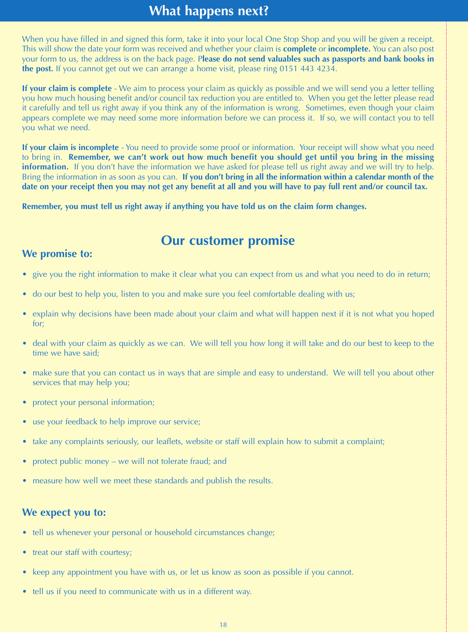# **What happens next?**

When you have filled in and signed this form, take it into your local One Stop Shop and you will be given a receipt. This will show the date your form was received and whether your claim is **complete** or **incomplete.** You can also post your form to us, the address is on the back page. P**lease do not send valuables such as passports and bank books in the post.** If you cannot get out we can arrange a home visit, please ring 0151 443 4234.

**If your claim is complete** - We aim to process your claim as quickly as possible and we will send you a letter telling you how much housing benefit and/or council tax reduction you are entitled to. When you get the letter please read it carefully and tell us right away if you think any of the information is wrong. Sometimes, even though your claim appears complete we may need some more information before we can process it. If so, we will contact you to tell you what we need.

**If your claim is incomplete** - You need to provide some proof or information. Your receipt will show what you need to bring in. **Remember, we can't work out how much benefit you should get until you bring in the missing information.** If you don't have the information we have asked for please tell us right away and we will try to help. Bring the information in as soon as you can. **If you don't bring in all the information within a calendar month of the date on your receipt then you may not get any benefit at all and you will have to pay full rent and/or council tax.**

**Remember, you must tell us right away if anything you have told us on the claim form changes.** 

### **Our customer promise**

### **We promise to:**

- give you the right information to make it clear what you can expect from us and what you need to do in return;
- do our best to help you, listen to you and make sure you feel comfortable dealing with us;
- explain why decisions have been made about your claim and what will happen next if it is not what you hoped for;
- deal with your claim as quickly as we can. We will tell you how long it will take and do our best to keep to the time we have said;
- make sure that you can contact us in ways that are simple and easy to understand. We will tell you about other services that may help you;
- protect your personal information;
- use your feedback to help improve our service;
- take any complaints seriously, our leaflets, website or staff will explain how to submit a complaint;
- protect public money we will not tolerate fraud; and
- measure how well we meet these standards and publish the results.

### **We expect you to:**

- tell us whenever your personal or household circumstances change;
- treat our staff with courtesy;
- keep any appointment you have with us, or let us know as soon as possible if you cannot.
- tell us if you need to communicate with us in a different way.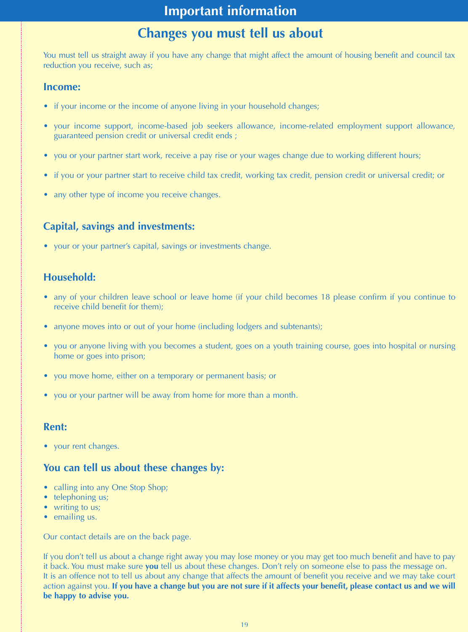# **Changes you must tell us about**

You must tell us straight away if you have any change that might affect the amount of housing benefit and council tax reduction you receive, such as;

### **Income:**

- if your income or the income of anyone living in your household changes;
- your income support, income-based job seekers allowance, income-related employment support allowance, guaranteed pension credit or universal credit ends ;
- you or your partner start work, receive a pay rise or your wages change due to working different hours;
- if you or your partner start to receive child tax credit, working tax credit, pension credit or universal credit; or
- any other type of income you receive changes.

### **Capital, savings and investments:**

• your or your partner's capital, savings or investments change.

### **Household:**

- any of your children leave school or leave home (if your child becomes 18 please confirm if you continue to receive child benefit for them);
- anyone moves into or out of your home (including lodgers and subtenants);
- you or anyone living with you becomes a student, goes on a youth training course, goes into hospital or nursing home or goes into prison;
- you move home, either on a temporary or permanent basis; or
- you or your partner will be away from home for more than a month.

### **Rent:**

• your rent changes.

### **You can tell us about these changes by:**

- calling into any One Stop Shop;
- telephoning us;
- writing to us;
- emailing us.

Our contact details are on the back page.

If you don't tell us about a change right away you may lose money or you may get too much benefit and have to pay it back. You must make sure **you** tell us about these changes. Don't rely on someone else to pass the message on. It is an offence not to tell us about any change that affects the amount of benefit you receive and we may take court action against you. **If you have a change but you are not sure if it affects your benefit, please contact us and we will be happy to advise you.**